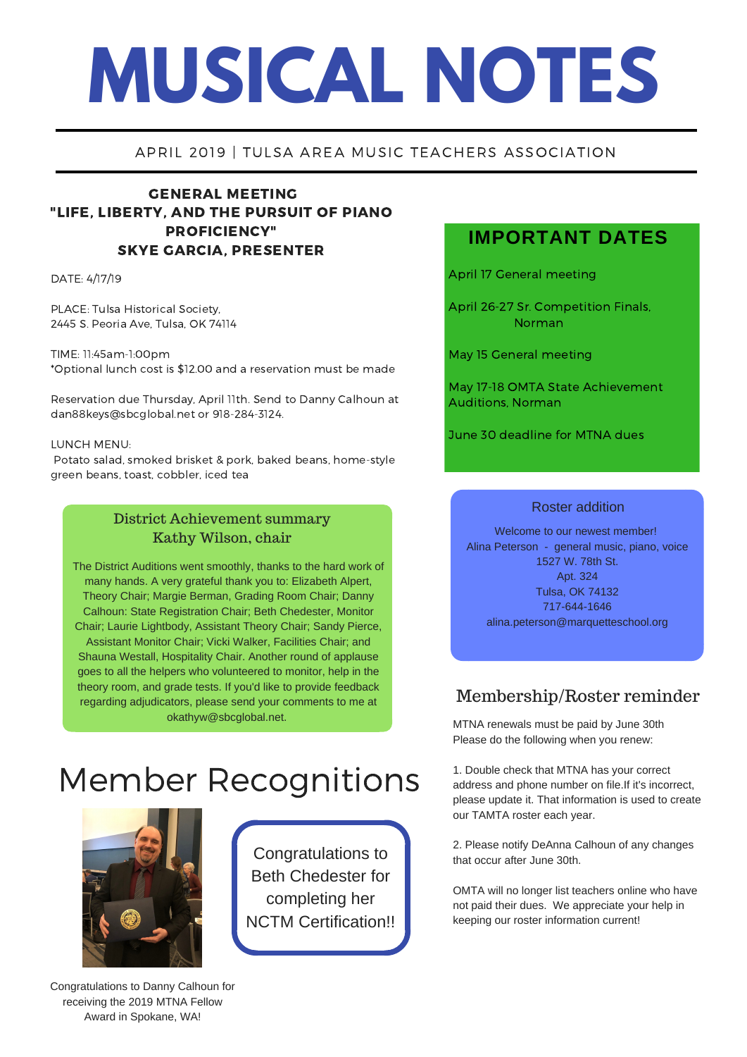# **MUSICAL NOTES**

# APRIL 2019 | TULSA AREA MUSIC TEACHERS ASSOCIATION

# GENERAL MEETING "LIFE, LIBERTY, AND THE PURSUIT OF PIANO PROFICIENCY" SKYE GARCIA, PRESENTER

DATE: 4/17/19

PLACE: Tulsa Historical Society, 2445 S. Peoria Ave, Tulsa, OK 74114

TIME: 11:45am-1:00pm \*Optional lunch cost is \$12.00 and a reservation must be made

Reservation due Thursday, April 11th. Send to Danny Calhoun at dan88keys@sbcglobal.net or 918-284-3124.

#### LUNCH MENU:

Potato salad, smoked brisket & pork, baked beans, home-style green beans, toast, cobbler, iced tea

# District Achievement summary Kathy Wilson, chair

The District Auditions went smoothly, thanks to the hard work of many hands. A very grateful thank you to: Elizabeth Alpert, Theory Chair; Margie Berman, Grading Room Chair; Danny Calhoun: State Registration Chair; Beth Chedester, Monitor Chair; Laurie Lightbody, Assistant Theory Chair; Sandy Pierce, Assistant Monitor Chair; Vicki Walker, Facilities Chair; and Shauna Westall, Hospitality Chair. Another round of applause goes to all the helpers who volunteered to monitor, help in the theory room, and grade tests. If you'd like to provide feedback regarding adjudicators, please send your comments to me at okathyw@sbcglobal.net.

# Member Recognitions



Congratulations to Beth Chedester for completing her NCTM Certification!!

# **IMPORTANT DATES**

April 17 General meeting

April 26-27 Sr. Competition Finals, Norman

May 15 General meeting

May 17-18 OMTA State Achievement Auditions, Norman

June 30 deadline for MTNA dues

#### Roster addition

Welcome to our newest member! Alina Peterson - general music, piano, voice 1527 W. 78th St. Apt. 324 Tulsa, OK 74132 717-644-1646 alina.peterson@marquetteschool.org

# Membership/Roster reminder

MTNA renewals must be paid by June 30th Please do the following when you renew:

1. Double check that MTNA has your correct address and phone number on file.If it's incorrect, please update it. That information is used to create our TAMTA roster each year.

2. Please notify DeAnna Calhoun of any changes that occur after June 30th.

OMTA will no longer list teachers online who have not paid their dues. We appreciate your help in keeping our roster information current!

Congratulations to Danny Calhoun for receiving the 2019 MTNA Fellow Award in Spokane, WA!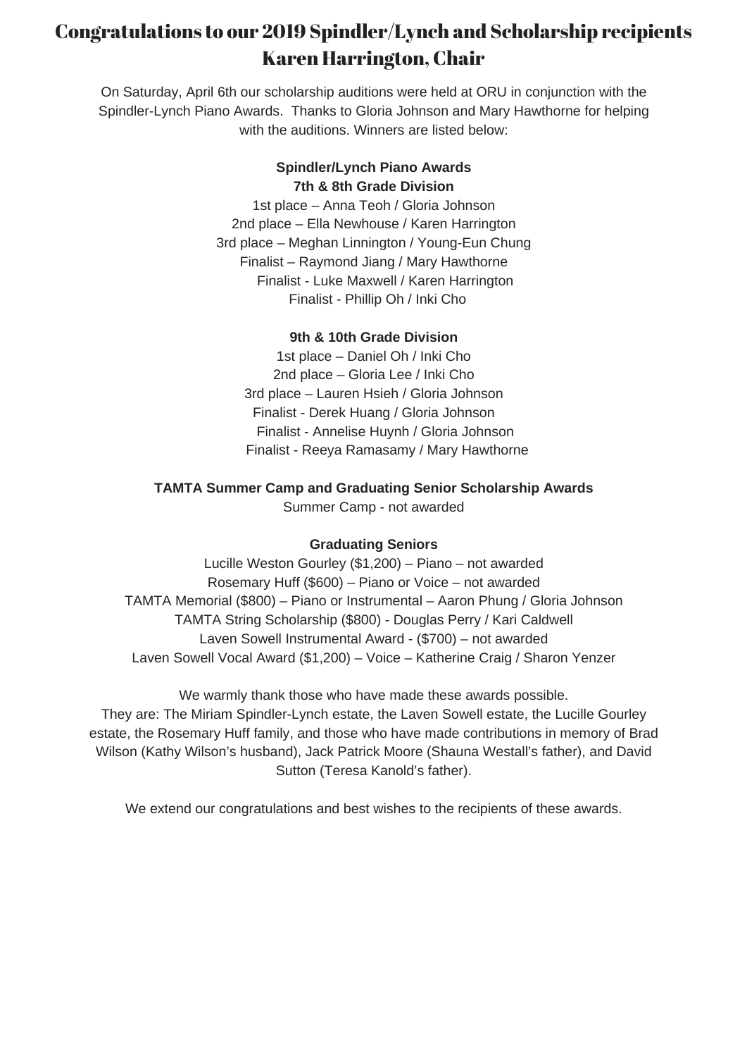# Congratulations to our 2019 Spindler/Lynch and Scholarship recipients Karen Harrington, Chair

On Saturday, April 6th our scholarship auditions were held at ORU in conjunction with the Spindler-Lynch Piano Awards. Thanks to Gloria Johnson and Mary Hawthorne for helping with the auditions. Winners are listed below:

# **Spindler/Lynch Piano Awards 7th & 8th Grade Division**

1st place – Anna Teoh / Gloria Johnson 2nd place – Ella Newhouse / Karen Harrington 3rd place – Meghan Linnington / Young-Eun Chung Finalist – Raymond Jiang / Mary Hawthorne Finalist - Luke Maxwell / Karen Harrington Finalist - Phillip Oh / Inki Cho

# **9th & 10th Grade Division**

1st place – Daniel Oh / Inki Cho 2nd place – Gloria Lee / Inki Cho 3rd place – Lauren Hsieh / Gloria Johnson Finalist - Derek Huang / Gloria Johnson Finalist - Annelise Huynh / Gloria Johnson Finalist - Reeya Ramasamy / Mary Hawthorne

### **TAMTA Summer Camp and Graduating Senior Scholarship Awards**

Summer Camp - not awarded

#### **Graduating Seniors**

Lucille Weston Gourley (\$1,200) – Piano – not awarded Rosemary Huff (\$600) – Piano or Voice – not awarded TAMTA Memorial (\$800) – Piano or Instrumental – Aaron Phung / Gloria Johnson TAMTA String Scholarship (\$800) - Douglas Perry / Kari Caldwell Laven Sowell Instrumental Award - (\$700) – not awarded Laven Sowell Vocal Award (\$1,200) – Voice – Katherine Craig / Sharon Yenzer

We warmly thank those who have made these awards possible. They are: The Miriam Spindler-Lynch estate, the Laven Sowell estate, the Lucille Gourley estate, the Rosemary Huff family, and those who have made contributions in memory of Brad Wilson (Kathy Wilson's husband), Jack Patrick Moore (Shauna Westall's father), and David Sutton (Teresa Kanold's father).

We extend our congratulations and best wishes to the recipients of these awards.